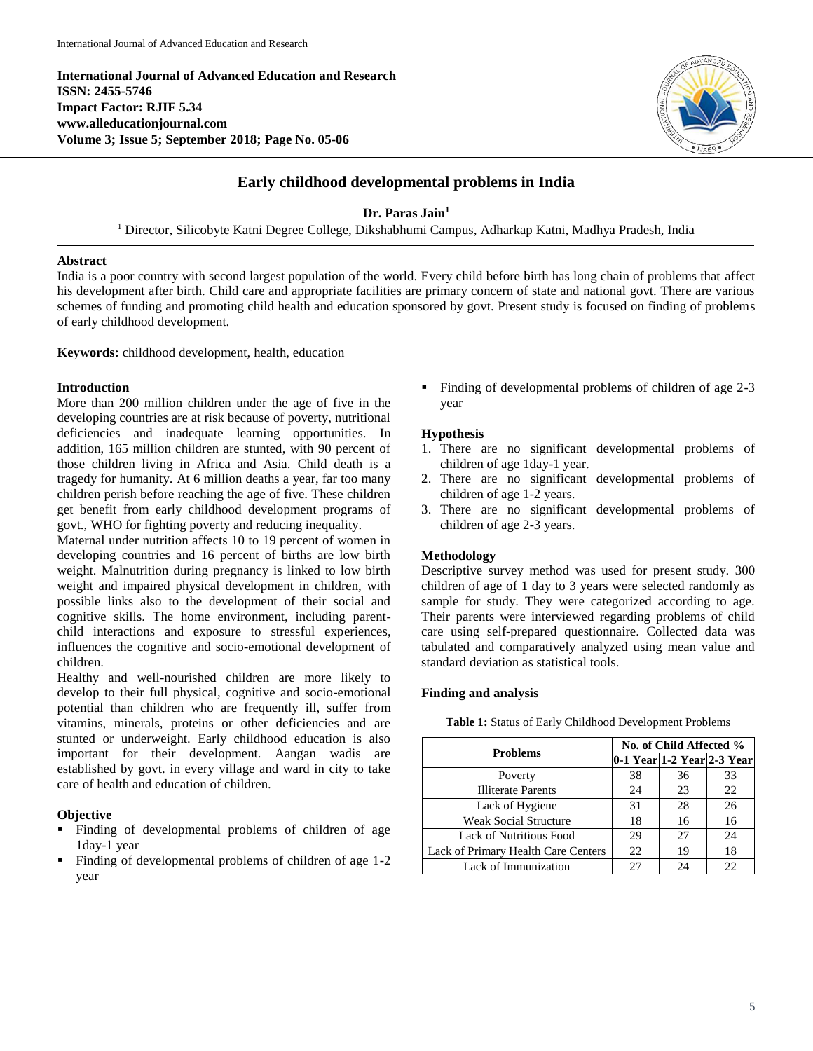**International Journal of Advanced Education and Research ISSN: 2455-5746 Impact Factor: RJIF 5.34 www.alleducationjournal.com Volume 3; Issue 5; September 2018; Page No. 05-06**



# **Early childhood developmental problems in India**

# **Dr. Paras Jain<sup>1</sup>**

<sup>1</sup> Director, Silicobyte Katni Degree College, Dikshabhumi Campus, Adharkap Katni, Madhya Pradesh, India

# **Abstract**

India is a poor country with second largest population of the world. Every child before birth has long chain of problems that affect his development after birth. Child care and appropriate facilities are primary concern of state and national govt. There are various schemes of funding and promoting child health and education sponsored by govt. Present study is focused on finding of problems of early childhood development.

**Keywords:** childhood development, health, education

### **Introduction**

More than 200 million children under the age of five in the developing countries are at risk because of poverty, nutritional deficiencies and inadequate learning opportunities. In addition, 165 million children are stunted, with 90 percent of those children living in Africa and Asia. Child death is a tragedy for humanity. At 6 million deaths a year, far too many children perish before reaching the age of five. These children get benefit from early childhood development programs of govt., WHO for fighting poverty and reducing inequality.

Maternal under nutrition affects 10 to 19 percent of women in developing countries and 16 percent of births are low birth weight. Malnutrition during pregnancy is linked to low birth weight and impaired physical development in children, with possible links also to the development of their social and cognitive skills. The home environment, including parentchild interactions and exposure to stressful experiences, influences the cognitive and socio-emotional development of children.

Healthy and well-nourished children are more likely to develop to their full physical, cognitive and socio-emotional potential than children who are frequently ill, suffer from vitamins, minerals, proteins or other deficiencies and are stunted or underweight. Early childhood education is also important for their development. Aangan wadis are established by govt. in every village and ward in city to take care of health and education of children.

### **Objective**

- Finding of developmental problems of children of age 1day-1 year
- Finding of developmental problems of children of age 1-2 year

 Finding of developmental problems of children of age 2-3 year

### **Hypothesis**

- 1. There are no significant developmental problems of children of age 1day-1 year.
- 2. There are no significant developmental problems of children of age 1-2 years.
- 3. There are no significant developmental problems of children of age 2-3 years.

### **Methodology**

Descriptive survey method was used for present study. 300 children of age of 1 day to 3 years were selected randomly as sample for study. They were categorized according to age. Their parents were interviewed regarding problems of child care using self-prepared questionnaire. Collected data was tabulated and comparatively analyzed using mean value and standard deviation as statistical tools.

### **Finding and analysis**

**Table 1:** Status of Early Childhood Development Problems

| <b>Problems</b>                     | No. of Child Affected % |    |                            |
|-------------------------------------|-------------------------|----|----------------------------|
|                                     |                         |    | 0-1 Year 1-2 Year 2-3 Year |
| Poverty                             | 38                      | 36 | 33                         |
| <b>Illiterate Parents</b>           | 24                      | 23 | 22                         |
| Lack of Hygiene                     | 31                      | 28 | 26                         |
| <b>Weak Social Structure</b>        | 18                      | 16 | 16                         |
| <b>Lack of Nutritious Food</b>      | 29                      | 27 | 24                         |
| Lack of Primary Health Care Centers | 22                      | 19 | 18                         |
| Lack of Immunization                | 27                      | 24 |                            |